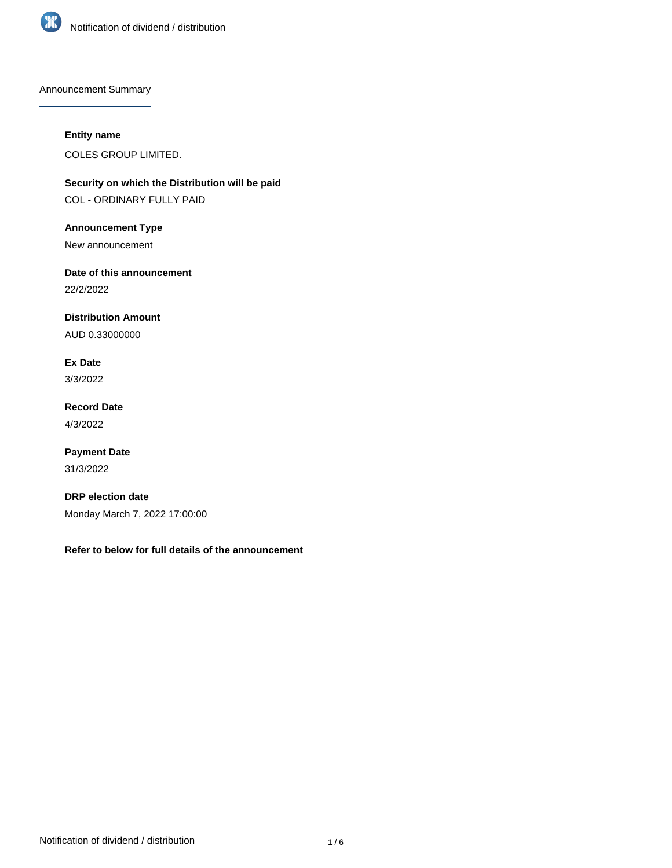

Announcement Summary

# **Entity name**

COLES GROUP LIMITED.

**Security on which the Distribution will be paid** COL - ORDINARY FULLY PAID

**Announcement Type**

New announcement

**Date of this announcement**

22/2/2022

**Distribution Amount**

AUD 0.33000000

**Ex Date** 3/3/2022

**Record Date** 4/3/2022

**Payment Date** 31/3/2022

**DRP election date** Monday March 7, 2022 17:00:00

**Refer to below for full details of the announcement**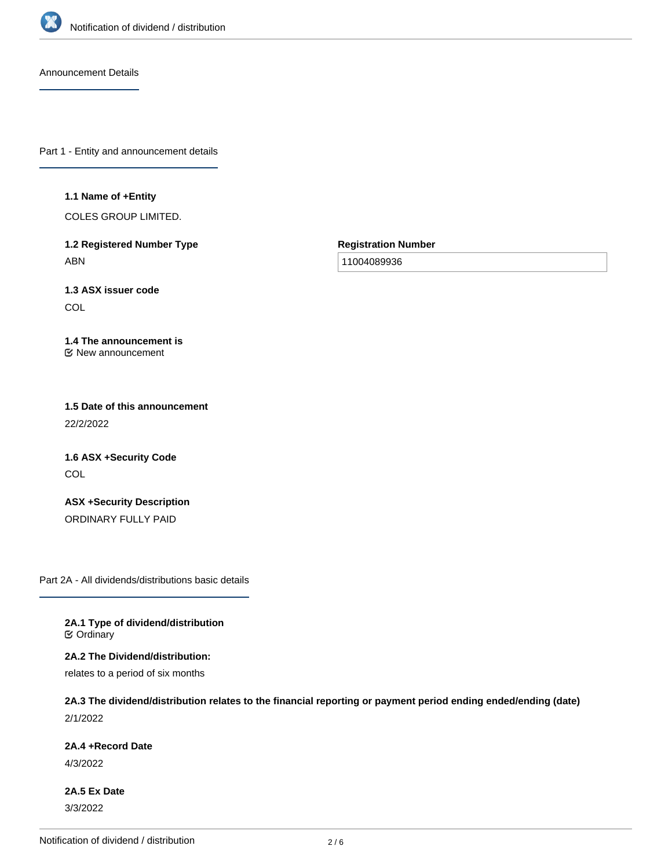

Announcement Details

Part 1 - Entity and announcement details

### **1.1 Name of +Entity**

COLES GROUP LIMITED.

**1.2 Registered Number Type** ABN

**Registration Number**

11004089936

**1.3 ASX issuer code COL** 

### **1.4 The announcement is** New announcement

**1.5 Date of this announcement** 22/2/2022

**1.6 ASX +Security Code COL** 

**ASX +Security Description** ORDINARY FULLY PAID

Part 2A - All dividends/distributions basic details

**2A.1 Type of dividend/distribution C** Ordinary

**2A.2 The Dividend/distribution:** relates to a period of six months

**2A.3 The dividend/distribution relates to the financial reporting or payment period ending ended/ending (date)** 2/1/2022

**2A.4 +Record Date**

4/3/2022

**2A.5 Ex Date** 3/3/2022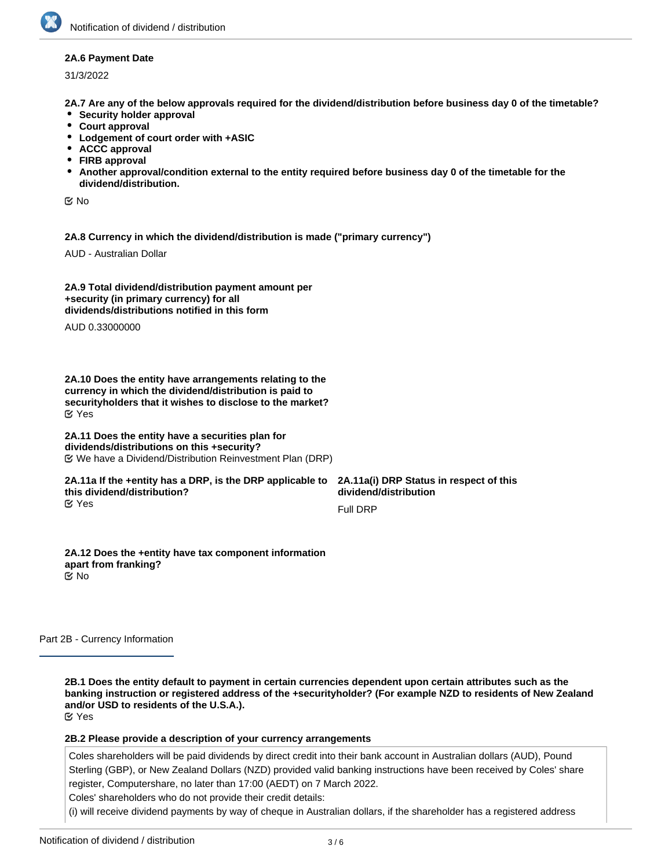## **2A.6 Payment Date**

31/3/2022

**2A.7 Are any of the below approvals required for the dividend/distribution before business day 0 of the timetable?**

- **•** Security holder approval
- **Court approval**
- **Lodgement of court order with +ASIC**
- **ACCC approval**
- **FIRB approval**
- **Another approval/condition external to the entity required before business day 0 of the timetable for the dividend/distribution.**

No

**2A.8 Currency in which the dividend/distribution is made ("primary currency")**

AUD - Australian Dollar

**2A.9 Total dividend/distribution payment amount per +security (in primary currency) for all dividends/distributions notified in this form**

AUD 0.33000000

**2A.10 Does the entity have arrangements relating to the currency in which the dividend/distribution is paid to securityholders that it wishes to disclose to the market?** Yes

## **2A.11 Does the entity have a securities plan for dividends/distributions on this +security?** We have a Dividend/Distribution Reinvestment Plan (DRP)

### **2A.11a If the +entity has a DRP, is the DRP applicable to this dividend/distribution?** Yes

**2A.11a(i) DRP Status in respect of this dividend/distribution**

Full DRP

**2A.12 Does the +entity have tax component information apart from franking?** No

Part 2B - Currency Information

**2B.1 Does the entity default to payment in certain currencies dependent upon certain attributes such as the banking instruction or registered address of the +securityholder? (For example NZD to residents of New Zealand and/or USD to residents of the U.S.A.).** Yes

**2B.2 Please provide a description of your currency arrangements**

Coles shareholders will be paid dividends by direct credit into their bank account in Australian dollars (AUD), Pound Sterling (GBP), or New Zealand Dollars (NZD) provided valid banking instructions have been received by Coles' share register, Computershare, no later than 17:00 (AEDT) on 7 March 2022.

Coles' shareholders who do not provide their credit details:

(i) will receive dividend payments by way of cheque in Australian dollars, if the shareholder has a registered address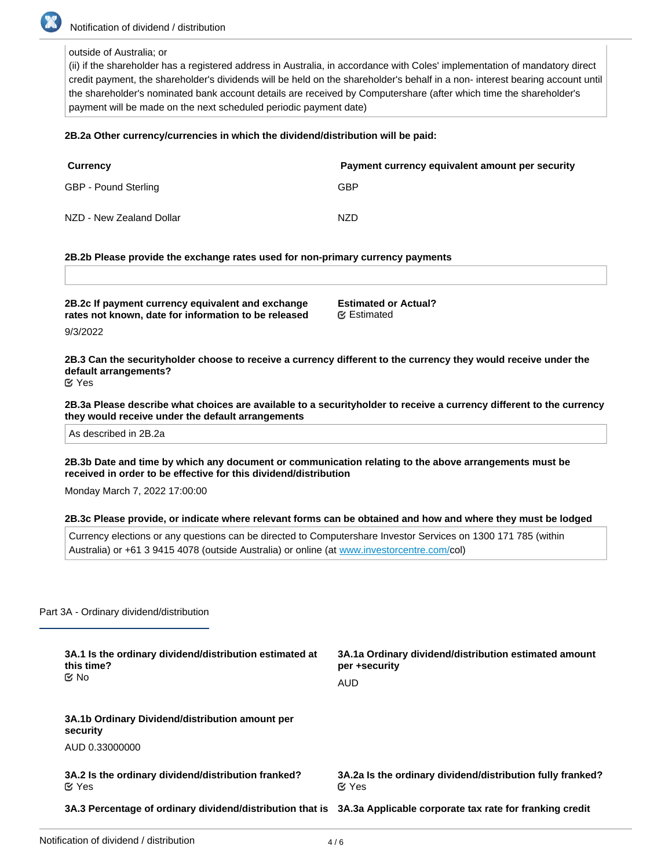

outside of Australia; or

(ii) if the shareholder has a registered address in Australia, in accordance with Coles' implementation of mandatory direct credit payment, the shareholder's dividends will be held on the shareholder's behalf in a non- interest bearing account until the shareholder's nominated bank account details are received by Computershare (after which time the shareholder's payment will be made on the next scheduled periodic payment date)

## **2B.2a Other currency/currencies in which the dividend/distribution will be paid:**

| <b>Currency</b>          | Payment currency equivalent amount per security |
|--------------------------|-------------------------------------------------|
| GBP - Pound Sterling     | GBP                                             |
| NZD - New Zealand Dollar | NZD                                             |

## **2B.2b Please provide the exchange rates used for non-primary currency payments**

| 2B.2c If payment currency equivalent and exchange    | <b>Estimated or Actual?</b> |
|------------------------------------------------------|-----------------------------|
| rates not known, date for information to be released | <b></b> <i>E</i> Estimated  |

9/3/2022

**2B.3 Can the securityholder choose to receive a currency different to the currency they would receive under the default arrangements?** Yes

**2B.3a Please describe what choices are available to a securityholder to receive a currency different to the currency they would receive under the default arrangements**

As described in 2B.2a

**2B.3b Date and time by which any document or communication relating to the above arrangements must be received in order to be effective for this dividend/distribution**

Monday March 7, 2022 17:00:00

#### **2B.3c Please provide, or indicate where relevant forms can be obtained and how and where they must be lodged**

Currency elections or any questions can be directed to Computershare Investor Services on 1300 171 785 (within Australia) or +61 3 9415 4078 (outside Australia) or online (at [www.investorcentre.com/c](http://www.investorcentre.com/)ol)

Part 3A - Ordinary dividend/distribution

|  | 3A.1 Is the ordinary dividend/distribution estimated at<br>this time?<br>tiX No                                   | 3A.1a Ordinary dividend/distribution estimated amount<br>per +security     |
|--|-------------------------------------------------------------------------------------------------------------------|----------------------------------------------------------------------------|
|  |                                                                                                                   | AUD                                                                        |
|  | 3A.1b Ordinary Dividend/distribution amount per<br>security                                                       |                                                                            |
|  | AUD 0.33000000                                                                                                    |                                                                            |
|  | 3A.2 Is the ordinary dividend/distribution franked?<br>$\alpha$ Yes                                               | 3A.2a Is the ordinary dividend/distribution fully franked?<br>$\alpha$ Yes |
|  | 3A.3 Percentage of ordinary dividend/distribution that is 3A.3a Applicable corporate tax rate for franking credit |                                                                            |

**franked**

**(%)**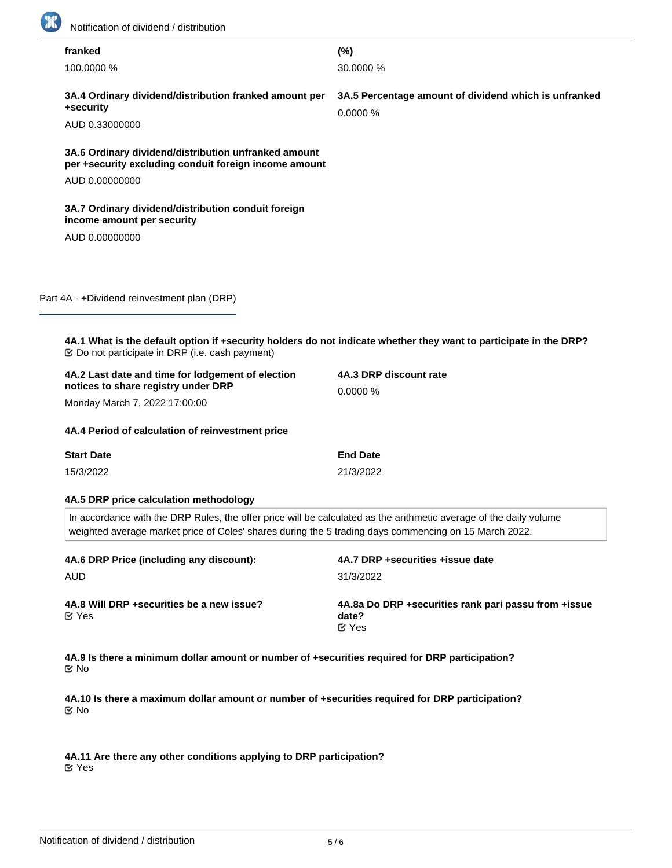

| franked                                                                                                                                                                                                                         | (%)                                                                                                               |  |
|---------------------------------------------------------------------------------------------------------------------------------------------------------------------------------------------------------------------------------|-------------------------------------------------------------------------------------------------------------------|--|
| 100.0000 %                                                                                                                                                                                                                      | 30.0000 %                                                                                                         |  |
| 3A.4 Ordinary dividend/distribution franked amount per<br>+security                                                                                                                                                             | 3A.5 Percentage amount of dividend which is unfranked<br>0.0000%                                                  |  |
| AUD 0.33000000                                                                                                                                                                                                                  |                                                                                                                   |  |
| 3A.6 Ordinary dividend/distribution unfranked amount<br>per +security excluding conduit foreign income amount                                                                                                                   |                                                                                                                   |  |
| AUD 0.00000000                                                                                                                                                                                                                  |                                                                                                                   |  |
| 3A.7 Ordinary dividend/distribution conduit foreign<br>income amount per security                                                                                                                                               |                                                                                                                   |  |
| AUD 0.00000000                                                                                                                                                                                                                  |                                                                                                                   |  |
|                                                                                                                                                                                                                                 |                                                                                                                   |  |
| Part 4A - +Dividend reinvestment plan (DRP)                                                                                                                                                                                     |                                                                                                                   |  |
|                                                                                                                                                                                                                                 | 4A.1 What is the default option if +security holders do not indicate whether they want to participate in the DRP? |  |
| 4A.2 Last date and time for lodgement of election<br>notices to share registry under DRP                                                                                                                                        | 4A.3 DRP discount rate<br>0.0000%                                                                                 |  |
| Monday March 7, 2022 17:00:00                                                                                                                                                                                                   |                                                                                                                   |  |
| 4A.4 Period of calculation of reinvestment price                                                                                                                                                                                |                                                                                                                   |  |
| <b>Start Date</b>                                                                                                                                                                                                               | <b>End Date</b>                                                                                                   |  |
| 15/3/2022                                                                                                                                                                                                                       | 21/3/2022                                                                                                         |  |
| 4A.5 DRP price calculation methodology                                                                                                                                                                                          |                                                                                                                   |  |
| In accordance with the DRP Rules, the offer price will be calculated as the arithmetic average of the daily volume<br>weighted average market price of Coles' shares during the 5 trading days commencing on 15 March 2022.     |                                                                                                                   |  |
| 4A.6 DRP Price (including any discount):                                                                                                                                                                                        | 4A.7 DRP +securities +issue date                                                                                  |  |
| <b>AUD</b>                                                                                                                                                                                                                      | 31/3/2022                                                                                                         |  |
| 4A.8 Will DRP + securities be a new issue?<br><b>⊘</b> Yes                                                                                                                                                                      | 4A.8a Do DRP +securities rank pari passu from +issue<br>date?<br>$C$ Yes                                          |  |
| 4A.9 Is there a minimum dollar amount or number of +securities required for DRP participation?<br><b>ビ No</b><br>4A.10 Is there a maximum dollar amount or number of +securities required for DRP participation?<br><b>ビ No</b> |                                                                                                                   |  |

**4A.11 Are there any other conditions applying to DRP participation?** Yes